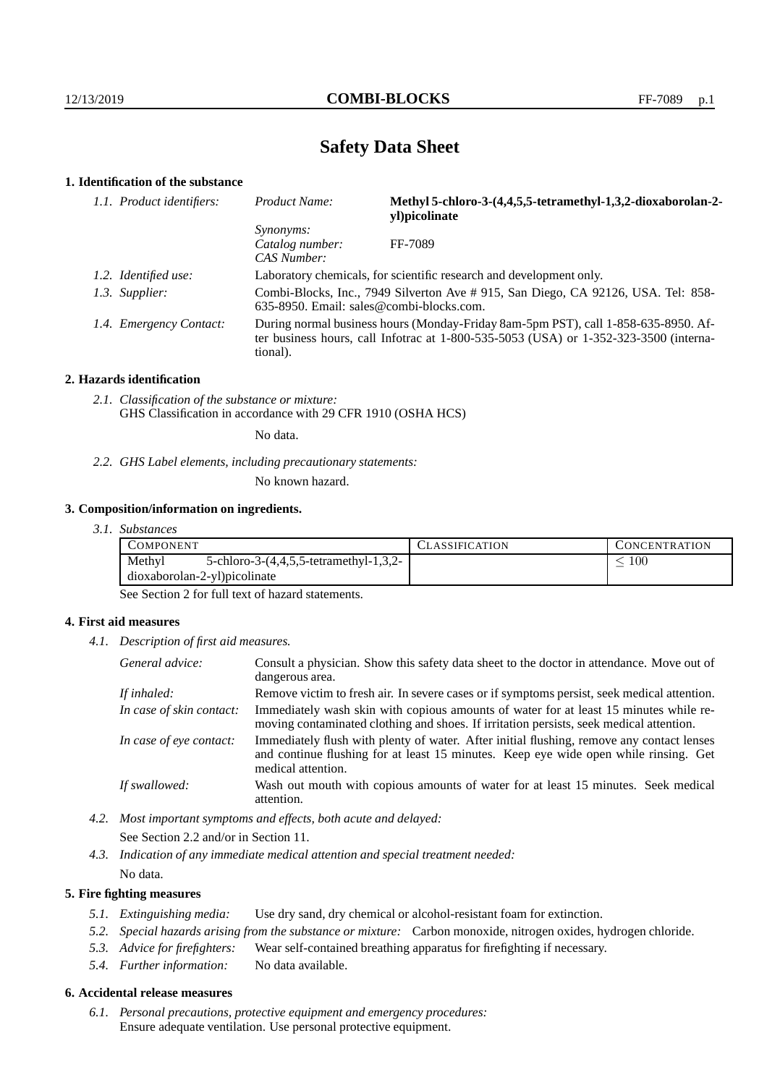# **Safety Data Sheet**

## **1. Identification of the substance**

| 1.1. Product identifiers: | Product Name:                                                                                                                | Methyl 5-chloro-3-(4,4,5,5-tetramethyl-1,3,2-dioxaborolan-2-<br>yl)picolinate                                                                                               |
|---------------------------|------------------------------------------------------------------------------------------------------------------------------|-----------------------------------------------------------------------------------------------------------------------------------------------------------------------------|
|                           | <i>Synonyms:</i><br>Catalog number:<br>CAS Number:                                                                           | FF-7089                                                                                                                                                                     |
| 1.2. Identified use:      |                                                                                                                              | Laboratory chemicals, for scientific research and development only.                                                                                                         |
| 1.3. Supplier:            | Combi-Blocks, Inc., 7949 Silverton Ave #915, San Diego, CA 92126, USA. Tel: 858-<br>635-8950. Email: sales@combi-blocks.com. |                                                                                                                                                                             |
| 1.4. Emergency Contact:   | tional).                                                                                                                     | During normal business hours (Monday-Friday 8am-5pm PST), call 1-858-635-8950. Af-<br>ter business hours, call Infotrac at 1-800-535-5053 (USA) or 1-352-323-3500 (interna- |

#### **2. Hazards identification**

*2.1. Classification of the substance or mixture:* GHS Classification in accordance with 29 CFR 1910 (OSHA HCS)

No data.

*2.2. GHS Label elements, including precautionary statements:*

No known hazard.

#### **3. Composition/information on ingredients.**

|  | 3. I. | <i>Substances</i> |
|--|-------|-------------------|
|--|-------|-------------------|

| COMPONENT                    |                                            | <b>LASSIFICATION</b> | <b>CONCENTRATION</b> |  |
|------------------------------|--------------------------------------------|----------------------|----------------------|--|
| Methyl                       | 5-chloro-3- $(4,4,5,5$ -tetramethyl-1,3,2- |                      | 100                  |  |
| dioxaborolan-2-yl)picolinate |                                            |                      |                      |  |

See Section 2 for full text of hazard statements.

### **4. First aid measures**

*4.1. Description of first aid measures.*

| General advice:          | Consult a physician. Show this safety data sheet to the doctor in attendance. Move out of<br>dangerous area.                                                                                            |
|--------------------------|---------------------------------------------------------------------------------------------------------------------------------------------------------------------------------------------------------|
| If inhaled:              | Remove victim to fresh air. In severe cases or if symptoms persist, seek medical attention.                                                                                                             |
| In case of skin contact: | Immediately wash skin with copious amounts of water for at least 15 minutes while re-<br>moving contaminated clothing and shoes. If irritation persists, seek medical attention.                        |
| In case of eye contact:  | Immediately flush with plenty of water. After initial flushing, remove any contact lenses<br>and continue flushing for at least 15 minutes. Keep eye wide open while rinsing. Get<br>medical attention. |
| If swallowed:            | Wash out mouth with copious amounts of water for at least 15 minutes. Seek medical<br>attention.                                                                                                        |

*4.2. Most important symptoms and effects, both acute and delayed:* See Section 2.2 and/or in Section 11.

*4.3. Indication of any immediate medical attention and special treatment needed:* No data.

### **5. Fire fighting measures**

- *5.1. Extinguishing media:* Use dry sand, dry chemical or alcohol-resistant foam for extinction.
- *5.2. Special hazards arising from the substance or mixture:* Carbon monoxide, nitrogen oxides, hydrogen chloride.
- *5.3. Advice for firefighters:* Wear self-contained breathing apparatus for firefighting if necessary.
- *5.4. Further information:* No data available.

### **6. Accidental release measures**

*6.1. Personal precautions, protective equipment and emergency procedures:* Ensure adequate ventilation. Use personal protective equipment.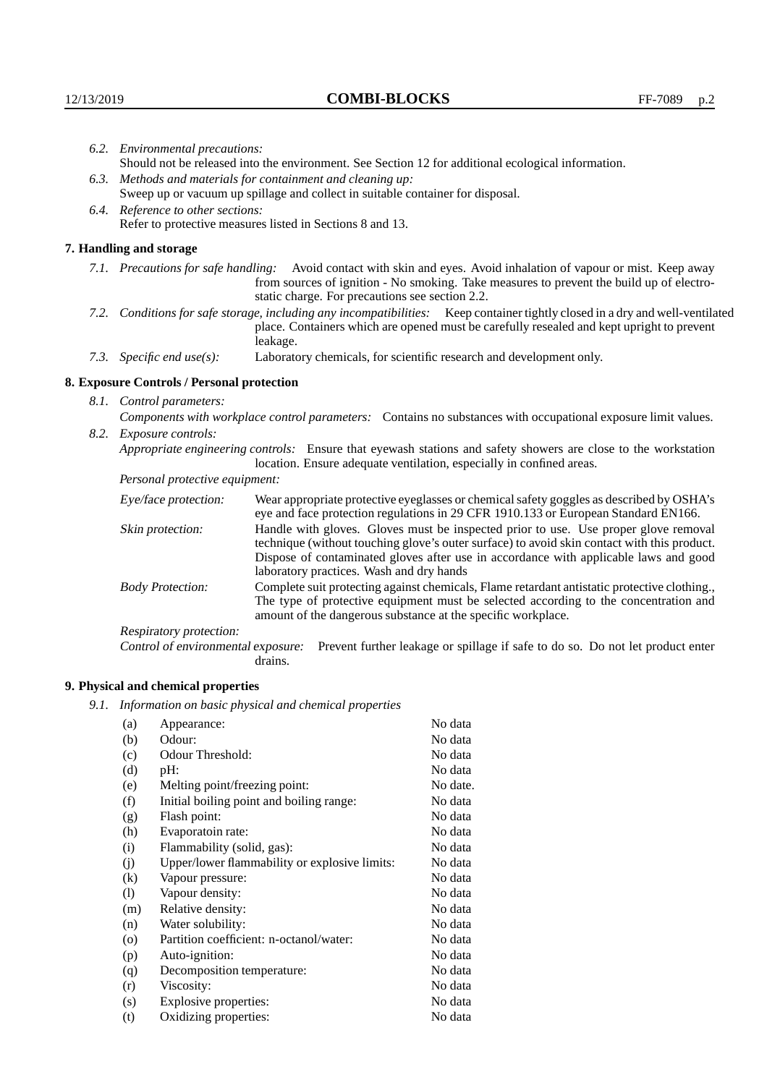| 6.2. Environmental precautions:                                                                               |                                                                                                                                                                                                                                                                                                                        |  |  |
|---------------------------------------------------------------------------------------------------------------|------------------------------------------------------------------------------------------------------------------------------------------------------------------------------------------------------------------------------------------------------------------------------------------------------------------------|--|--|
| Should not be released into the environment. See Section 12 for additional ecological information.            |                                                                                                                                                                                                                                                                                                                        |  |  |
| 6.3. Methods and materials for containment and cleaning up:                                                   |                                                                                                                                                                                                                                                                                                                        |  |  |
| Sweep up or vacuum up spillage and collect in suitable container for disposal.                                |                                                                                                                                                                                                                                                                                                                        |  |  |
| 6.4. Reference to other sections:                                                                             |                                                                                                                                                                                                                                                                                                                        |  |  |
| Refer to protective measures listed in Sections 8 and 13.                                                     |                                                                                                                                                                                                                                                                                                                        |  |  |
| 7. Handling and storage                                                                                       |                                                                                                                                                                                                                                                                                                                        |  |  |
|                                                                                                               | 7.1. Precautions for safe handling: Avoid contact with skin and eyes. Avoid inhalation of vapour or mist. Keep away<br>from sources of ignition - No smoking. Take measures to prevent the build up of electro-<br>static charge. For precautions see section 2.2.                                                     |  |  |
|                                                                                                               | 7.2. Conditions for safe storage, including any incompatibilities: Keep container tightly closed in a dry and well-ventilated<br>place. Containers which are opened must be carefully resealed and kept upright to prevent<br>leakage.                                                                                 |  |  |
| 7.3. Specific end use(s):                                                                                     | Laboratory chemicals, for scientific research and development only.                                                                                                                                                                                                                                                    |  |  |
| 8. Exposure Controls / Personal protection                                                                    |                                                                                                                                                                                                                                                                                                                        |  |  |
| 8.1. Control parameters:                                                                                      |                                                                                                                                                                                                                                                                                                                        |  |  |
| Components with workplace control parameters: Contains no substances with occupational exposure limit values. |                                                                                                                                                                                                                                                                                                                        |  |  |
| 8.2. Exposure controls:                                                                                       |                                                                                                                                                                                                                                                                                                                        |  |  |
|                                                                                                               | Appropriate engineering controls: Ensure that eyewash stations and safety showers are close to the workstation<br>location. Ensure adequate ventilation, especially in confined areas.                                                                                                                                 |  |  |
| Personal protective equipment:                                                                                |                                                                                                                                                                                                                                                                                                                        |  |  |
| Eye/face protection:                                                                                          | Wear appropriate protective eyeglasses or chemical safety goggles as described by OSHA's<br>eye and face protection regulations in 29 CFR 1910.133 or European Standard EN166.                                                                                                                                         |  |  |
| Skin protection:                                                                                              | Handle with gloves. Gloves must be inspected prior to use. Use proper glove removal<br>technique (without touching glove's outer surface) to avoid skin contact with this product.<br>Dispose of contaminated gloves after use in accordance with applicable laws and good<br>laboratory practices. Wash and dry hands |  |  |
| <b>Body Protection:</b>                                                                                       | Complete suit protecting against chemicals, Flame retardant antistatic protective clothing.,<br>The type of protective equipment must be selected according to the concentration and<br>amount of the dangerous substance at the specific workplace.                                                                   |  |  |
| Respiratory protection:                                                                                       |                                                                                                                                                                                                                                                                                                                        |  |  |

Control of environmental exposure: Prevent further leakage or spillage if safe to do so. Do not let product enter drains.

# **9. Physical and chemical properties**

*9.1. Information on basic physical and chemical properties*

| (a)       | Appearance:                                   | No data  |
|-----------|-----------------------------------------------|----------|
| (b)       | Odour:                                        | No data  |
| (c)       | Odour Threshold:                              | No data  |
| (d)       | pH:                                           | No data  |
| (e)       | Melting point/freezing point:                 | No date. |
| (f)       | Initial boiling point and boiling range:      | No data  |
| (g)       | Flash point:                                  | No data  |
| (h)       | Evaporatoin rate:                             | No data  |
| (i)       | Flammability (solid, gas):                    | No data  |
| (i)       | Upper/lower flammability or explosive limits: | No data  |
| (k)       | Vapour pressure:                              | No data  |
| (1)       | Vapour density:                               | No data  |
| (m)       | Relative density:                             | No data  |
| (n)       | Water solubility:                             | No data  |
| $\rm (o)$ | Partition coefficient: n-octanol/water:       | No data  |
| (p)       | Auto-ignition:                                | No data  |
| (q)       | Decomposition temperature:                    | No data  |
| (r)       | Viscosity:                                    | No data  |
| (s)       | Explosive properties:                         | No data  |
| (t)       | Oxidizing properties:                         | No data  |